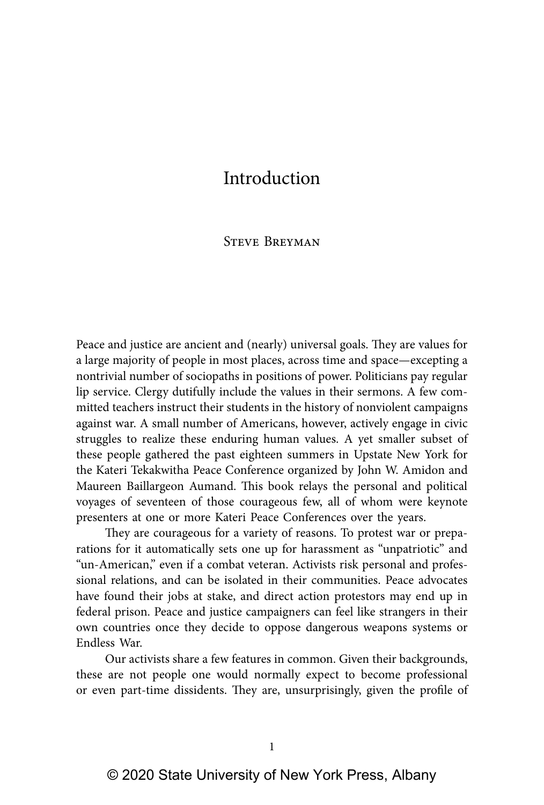## Introduction

## Steve Breyman

Peace and justice are ancient and (nearly) universal goals. They are values for a large majority of people in most places, across time and space—excepting a nontrivial number of sociopaths in positions of power. Politicians pay regular lip service. Clergy dutifully include the values in their sermons. A few committed teachers instruct their students in the history of nonviolent campaigns against war. A small number of Americans, however, actively engage in civic struggles to realize these enduring human values. A yet smaller subset of these people gathered the past eighteen summers in Upstate New York for the Kateri Tekakwitha Peace Conference organized by John W. Amidon and Maureen Baillargeon Aumand. This book relays the personal and political voyages of seventeen of those courageous few, all of whom were keynote presenters at one or more Kateri Peace Conferences over the years.

They are courageous for a variety of reasons. To protest war or preparations for it automatically sets one up for harassment as "unpatriotic" and "un-American," even if a combat veteran. Activists risk personal and professional relations, and can be isolated in their communities. Peace advocates have found their jobs at stake, and direct action protestors may end up in federal prison. Peace and justice campaigners can feel like strangers in their own countries once they decide to oppose dangerous weapons systems or Endless War.

Our activists share a few features in common. Given their backgrounds, these are not people one would normally expect to become professional or even part-time dissidents. They are, unsurprisingly, given the profile of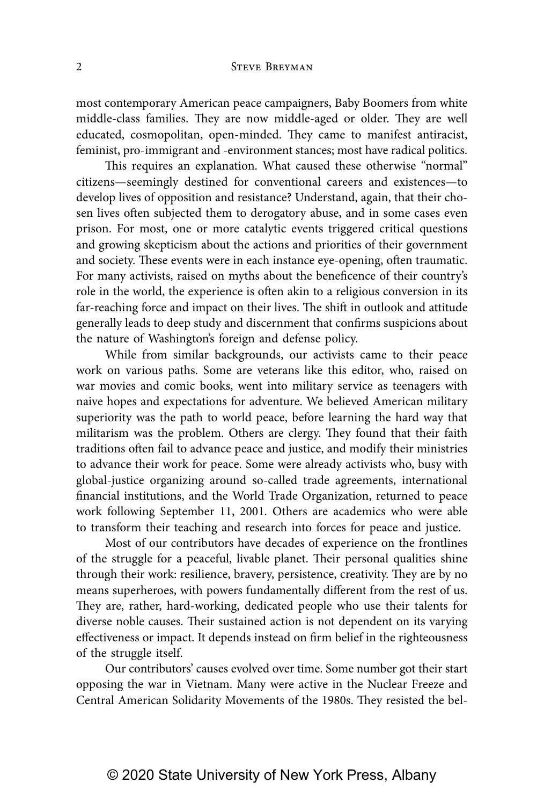most contemporary American peace campaigners, Baby Boomers from white middle-class families. They are now middle-aged or older. They are well educated, cosmopolitan, open-minded. They came to manifest antiracist, feminist, pro-immigrant and -environment stances; most have radical politics.

This requires an explanation. What caused these otherwise "normal" citizens—seemingly destined for conventional careers and existences—to develop lives of opposition and resistance? Understand, again, that their chosen lives often subjected them to derogatory abuse, and in some cases even prison. For most, one or more catalytic events triggered critical questions and growing skepticism about the actions and priorities of their government and society. These events were in each instance eye-opening, often traumatic. For many activists, raised on myths about the beneficence of their country's role in the world, the experience is often akin to a religious conversion in its far-reaching force and impact on their lives. The shift in outlook and attitude generally leads to deep study and discernment that confirms suspicions about the nature of Washington's foreign and defense policy.

While from similar backgrounds, our activists came to their peace work on various paths. Some are veterans like this editor, who, raised on war movies and comic books, went into military service as teenagers with naive hopes and expectations for adventure. We believed American military superiority was the path to world peace, before learning the hard way that militarism was the problem. Others are clergy. They found that their faith traditions often fail to advance peace and justice, and modify their ministries to advance their work for peace. Some were already activists who, busy with global-justice organizing around so-called trade agreements, international financial institutions, and the World Trade Organization, returned to peace work following September 11, 2001. Others are academics who were able to transform their teaching and research into forces for peace and justice.

Most of our contributors have decades of experience on the frontlines of the struggle for a peaceful, livable planet. Their personal qualities shine through their work: resilience, bravery, persistence, creativity. They are by no means superheroes, with powers fundamentally different from the rest of us. They are, rather, hard-working, dedicated people who use their talents for diverse noble causes. Their sustained action is not dependent on its varying effectiveness or impact. It depends instead on firm belief in the righteousness of the struggle itself.

Our contributors' causes evolved over time. Some number got their start opposing the war in Vietnam. Many were active in the Nuclear Freeze and Central American Solidarity Movements of the 1980s. They resisted the bel-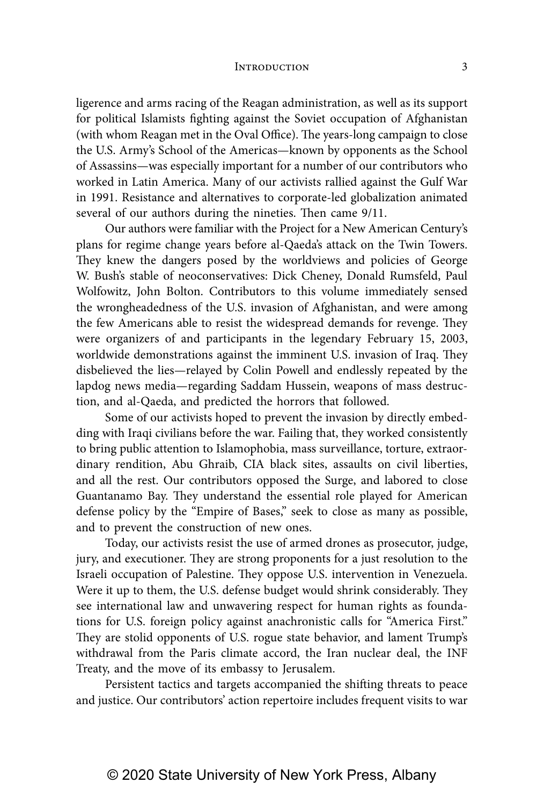## INTRODUCTION 3

ligerence and arms racing of the Reagan administration, as well as its support for political Islamists fighting against the Soviet occupation of Afghanistan (with whom Reagan met in the Oval Office). The years-long campaign to close the U.S. Army's School of the Americas—known by opponents as the School of Assassins—was especially important for a number of our contributors who worked in Latin America. Many of our activists rallied against the Gulf War in 1991. Resistance and alternatives to corporate-led globalization animated several of our authors during the nineties. Then came 9/11.

Our authors were familiar with the Project for a New American Century's plans for regime change years before al-Qaeda's attack on the Twin Towers. They knew the dangers posed by the worldviews and policies of George W. Bush's stable of neoconservatives: Dick Cheney, Donald Rumsfeld, Paul Wolfowitz, John Bolton. Contributors to this volume immediately sensed the wrongheadedness of the U.S. invasion of Afghanistan, and were among the few Americans able to resist the widespread demands for revenge. They were organizers of and participants in the legendary February 15, 2003, worldwide demonstrations against the imminent U.S. invasion of Iraq. They disbelieved the lies—relayed by Colin Powell and endlessly repeated by the lapdog news media—regarding Saddam Hussein, weapons of mass destruction, and al-Qaeda, and predicted the horrors that followed.

Some of our activists hoped to prevent the invasion by directly embedding with Iraqi civilians before the war. Failing that, they worked consistently to bring public attention to Islamophobia, mass surveillance, torture, extraordinary rendition, Abu Ghraib, CIA black sites, assaults on civil liberties, and all the rest. Our contributors opposed the Surge, and labored to close Guantanamo Bay. They understand the essential role played for American defense policy by the "Empire of Bases," seek to close as many as possible, and to prevent the construction of new ones.

Today, our activists resist the use of armed drones as prosecutor, judge, jury, and executioner. They are strong proponents for a just resolution to the Israeli occupation of Palestine. They oppose U.S. intervention in Venezuela. Were it up to them, the U.S. defense budget would shrink considerably. They see international law and unwavering respect for human rights as foundations for U.S. foreign policy against anachronistic calls for "America First." They are stolid opponents of U.S. rogue state behavior, and lament Trump's withdrawal from the Paris climate accord, the Iran nuclear deal, the INF Treaty, and the move of its embassy to Jerusalem.

Persistent tactics and targets accompanied the shifting threats to peace and justice. Our contributors' action repertoire includes frequent visits to war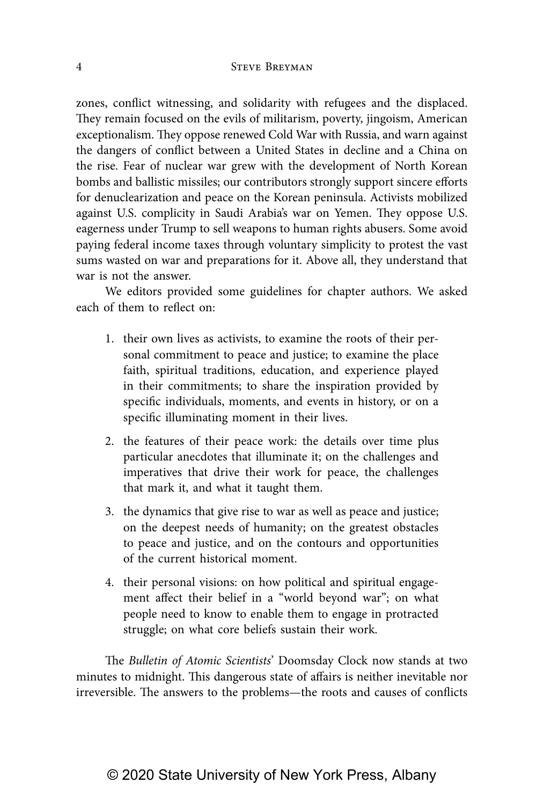zones, conflict witnessing, and solidarity with refugees and the displaced. They remain focused on the evils of militarism, poverty, jingoism, American exceptionalism. They oppose renewed Cold War with Russia, and warn against the dangers of conflict between a United States in decline and a China on the rise. Fear of nuclear war grew with the development of North Korean bombs and ballistic missiles; our contributors strongly support sincere efforts for denuclearization and peace on the Korean peninsula. Activists mobilized against U.S. complicity in Saudi Arabia's war on Yemen. They oppose U.S. eagerness under Trump to sell weapons to human rights abusers. Some avoid paying federal income taxes through voluntary simplicity to protest the vast sums wasted on war and preparations for it. Above all, they understand that war is not the answer.

We editors provided some guidelines for chapter authors. We asked each of them to reflect on:

- 1. their own lives as activists, to examine the roots of their personal commitment to peace and justice; to examine the place faith, spiritual traditions, education, and experience played in their commitments; to share the inspiration provided by specific individuals, moments, and events in history, or on a specific illuminating moment in their lives.
- 2. the features of their peace work: the details over time plus particular anecdotes that illuminate it; on the challenges and imperatives that drive their work for peace, the challenges that mark it, and what it taught them.
- 3. the dynamics that give rise to war as well as peace and justice; on the deepest needs of humanity; on the greatest obstacles to peace and justice, and on the contours and opportunities of the current historical moment.
- 4. their personal visions: on how political and spiritual engagement affect their belief in a "world beyond war"; on what people need to know to enable them to engage in protracted struggle; on what core beliefs sustain their work.

The *Bulletin of Atomic Scientists*' Doomsday Clock now stands at two minutes to midnight. This dangerous state of affairs is neither inevitable nor irreversible. The answers to the problems—the roots and causes of conflicts